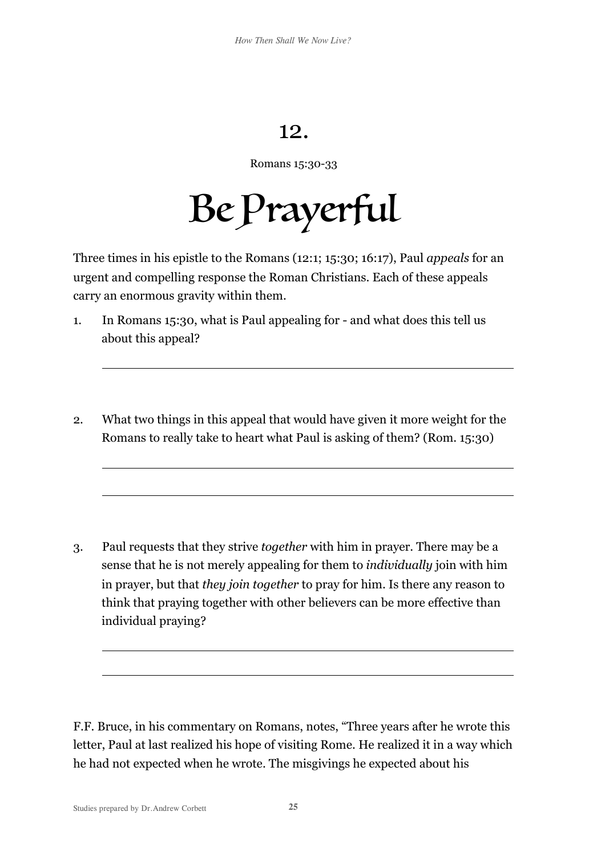## 12.

Romans 15:30-33

Be Prayerful

Three times in his epistle to the Romans (12:1; 15:30; 16:17), Paul *appeals* for an urgent and compelling response the Roman Christians. Each of these appeals carry an enormous gravity within them.

- 1. In Romans 15:30, what is Paul appealing for and what does this tell us about this appeal?
- 2. What two things in this appeal that would have given it more weight for the Romans to really take to heart what Paul is asking of them? (Rom. 15:30)

3. Paul requests that they strive *together* with him in prayer. There may be a sense that he is not merely appealing for them to *individually* join with him in prayer, but that *they join together* to pray for him. Is there any reason to think that praying together with other believers can be more effective than individual praying?

F.F. Bruce, in his commentary on Romans, notes, "Three years after he wrote this letter, Paul at last realized his hope of visiting Rome. He realized it in a way which he had not expected when he wrote. The misgivings he expected about his

 $\overline{a}$ 

 $\overline{a}$